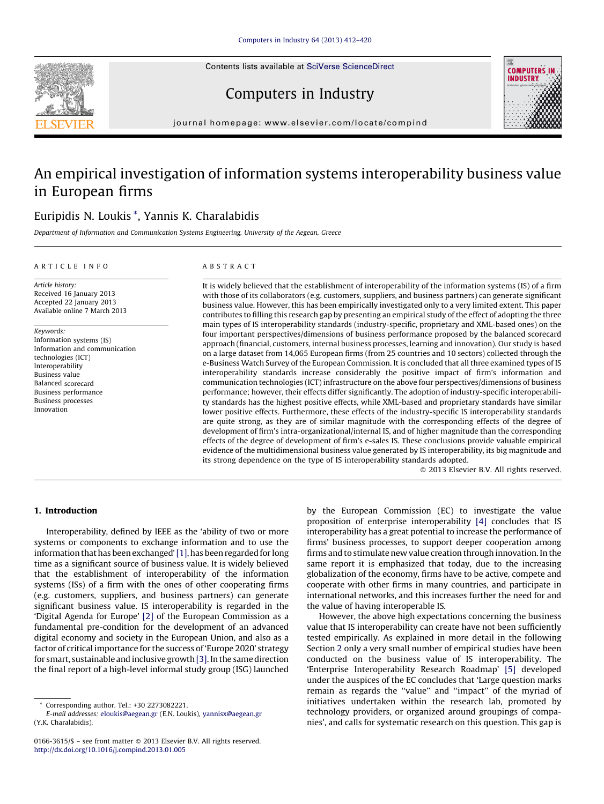Contents lists available at SciVerse [ScienceDirect](http://www.sciencedirect.com/science/journal/01663615)

<span id="page-0-0"></span>



# Computers in Industry

journal homepage: www.elsevier.com/locate/compind

# An empirical investigation of information systems interoperability business value in European firms

# Euripidis N. Loukis \*, Yannis K. Charalabidis

Department of Information and Communication Systems Engineering, University of the Aegean, Greece

### A R T I C L E I N F O

# A B S T R A C T

Article history: Received 16 January 2013 Accepted 22 January 2013 Available online 7 March 2013

Keywords: Information systems (IS) Information and communication technologies (ICT) Interoperability Business value Balanced scorecard Business performance Business processes Innovation

It is widely believed that the establishment of interoperability of the information systems (IS) of a firm with those of its collaborators (e.g. customers, suppliers, and business partners) can generate significant business value. However, this has been empirically investigated only to a very limited extent. This paper contributes to filling this research gap by presenting an empirical study of the effect of adopting the three main types of IS interoperability standards (industry-specific, proprietary and XML-based ones) on the four important perspectives/dimensions of business performance proposed by the balanced scorecard approach (financial, customers, internal business processes, learning and innovation). Our study is based on a large dataset from 14,065 European firms (from 25 countries and 10 sectors) collected through the e-Business Watch Survey of the European Commission. It is concluded that all three examined types of IS interoperability standards increase considerably the positive impact of firm's information and communication technologies (ICT) infrastructure on the above four perspectives/dimensions of business performance; however, their effects differ significantly. The adoption of industry-specific interoperability standards has the highest positive effects, while XML-based and proprietary standards have similar lower positive effects. Furthermore, these effects of the industry-specific IS interoperability standards are quite strong, as they are of similar magnitude with the corresponding effects of the degree of development of firm's intra-organizational/internal IS, and of higher magnitude than the corresponding effects of the degree of development of firm's e-sales IS. These conclusions provide valuable empirical evidence of the multidimensional business value generated by IS interoperability, its big magnitude and its strong dependence on the type of IS interoperability standards adopted.

- 2013 Elsevier B.V. All rights reserved.

# 1. Introduction

Interoperability, defined by IEEE as the 'ability of two or more systems or components to exchange information and to use the information that has been exchanged' [\[1\],](#page-7-0) has been regarded for long time as a significant source of business value. It is widely believed that the establishment of interoperability of the information systems (ISs) of a firm with the ones of other cooperating firms (e.g. customers, suppliers, and business partners) can generate significant business value. IS interoperability is regarded in the 'Digital Agenda for Europe' [\[2\]](#page-7-0) of the European Commission as a fundamental pre-condition for the development of an advanced digital economy and society in the European Union, and also as a factor of critical importance for the success of 'Europe 2020' strategy for smart, sustainable and inclusive growth [\[3\]](#page-7-0). In the same direction the final report of a high-level informal study group (ISG) launched

by the European Commission (EC) to investigate the value proposition of enterprise interoperability [\[4\]](#page-7-0) concludes that IS interoperability has a great potential to increase the performance of firms' business processes, to support deeper cooperation among firms and to stimulate new value creation through innovation. In the same report it is emphasized that today, due to the increasing globalization of the economy, firms have to be active, compete and cooperate with other firms in many countries, and participate in international networks, and this increases further the need for and the value of having interoperable IS.

However, the above high expectations concerning the business value that IS interoperability can create have not been sufficiently tested empirically. As explained in more detail in the following Section [2](#page-1-0) only a very small number of empirical studies have been conducted on the business value of IS interoperability. The 'Enterprise Interoperability Research Roadmap' [\[5\]](#page-7-0) developed under the auspices of the EC concludes that 'Large question marks remain as regards the ''value'' and ''impact'' of the myriad of initiatives undertaken within the research lab, promoted by technology providers, or organized around groupings of companies', and calls for systematic research on this question. This gap is

<sup>\*</sup> Corresponding author. Tel.: +30 2273082221.

E-mail addresses: [eloukis@aegean.gr](mailto:eloukis@aegean.gr) (E.N. Loukis), [yannisx@aegean.gr](mailto:yannisx@aegean.gr) (Y.K. Charalabidis).

<sup>0166-3615/\$ –</sup> see front matter @ 2013 Elsevier B.V. All rights reserved. <http://dx.doi.org/10.1016/j.compind.2013.01.005>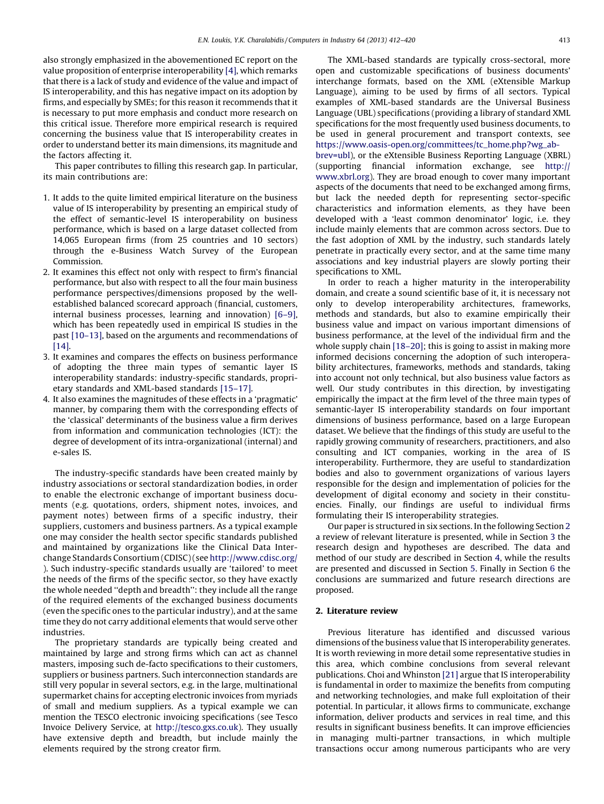<span id="page-1-0"></span>also strongly emphasized in the abovementioned EC report on the value proposition of enterprise interoperability [\[4\]](#page-7-0), which remarks that there is a lack of study and evidence of the value and impact of IS interoperability, and this has negative impact on its adoption by firms, and especially by SMEs; for this reason it recommends that it is necessary to put more emphasis and conduct more research on this critical issue. Therefore more empirical research is required concerning the business value that IS interoperability creates in order to understand better its main dimensions, its magnitude and the factors affecting it.

This paper contributes to filling this research gap. In particular, its main contributions are:

- 1. It adds to the quite limited empirical literature on the business value of IS interoperability by presenting an empirical study of the effect of semantic-level IS interoperability on business performance, which is based on a large dataset collected from 14,065 European firms (from 25 countries and 10 sectors) through the e-Business Watch Survey of the European Commission.
- 2. It examines this effect not only with respect to firm's financial performance, but also with respect to all the four main business performance perspectives/dimensions proposed by the wellestablished balanced scorecard approach (financial, customers, internal business processes, learning and innovation) [\[6–9\],](#page-8-0) which has been repeatedly used in empirical IS studies in the past [\[10–13\],](#page-8-0) based on the arguments and recommendations of [\[14\].](#page-8-0)
- 3. It examines and compares the effects on business performance of adopting the three main types of semantic layer IS interoperability standards: industry-specific standards, proprietary standards and XML-based standards [\[15–17\].](#page-8-0)
- 4. It also examines the magnitudes of these effects in a 'pragmatic' manner, by comparing them with the corresponding effects of the 'classical' determinants of the business value a firm derives from information and communication technologies (ICT): the degree of development of its intra-organizational (internal) and e-sales IS.

The industry-specific standards have been created mainly by industry associations or sectoral standardization bodies, in order to enable the electronic exchange of important business documents (e.g. quotations, orders, shipment notes, invoices, and payment notes) between firms of a specific industry, their suppliers, customers and business partners. As a typical example one may consider the health sector specific standards published and maintained by organizations like the Clinical Data Interchange Standards Consortium (CDISC)(see <http://www.cdisc.org/> ). Such industry-specific standards usually are 'tailored' to meet the needs of the firms of the specific sector, so they have exactly the whole needed ''depth and breadth'': they include all the range of the required elements of the exchanged business documents (even the specific ones to the particular industry), and at the same time they do not carry additional elements that would serve other industries.

The proprietary standards are typically being created and maintained by large and strong firms which can act as channel masters, imposing such de-facto specifications to their customers, suppliers or business partners. Such interconnection standards are still very popular in several sectors, e.g. in the large, multinational supermarket chains for accepting electronic invoices from myriads of small and medium suppliers. As a typical example we can mention the TESCO electronic invoicing specifications (see Tesco Invoice Delivery Service, at [http://tesco.gxs.co.uk\)](http://tesco.gxs.co.uk/). They usually have extensive depth and breadth, but include mainly the elements required by the strong creator firm.

The XML-based standards are typically cross-sectoral, more open and customizable specifications of business documents' interchange formats, based on the XML (eXtensible Markup Language), aiming to be used by firms of all sectors. Typical examples of XML-based standards are the Universal Business Language (UBL) specifications (providing a library of standard XML specifications for the most frequently used business documents, to be used in general procurement and transport contexts, see [https://www.oasis-open.org/committees/tc\\_home.php?wg\\_ab-](https://www.oasis-open.org/committees/tc_home.php?wg_abbrev=ubl)

[brev=ubl](https://www.oasis-open.org/committees/tc_home.php?wg_abbrev=ubl)), or the eXtensible Business Reporting Language (XBRL) (supporting financial information exchange, see [http://](http://www.xbrl.org/) [www.xbrl.org](http://www.xbrl.org/)). They are broad enough to cover many important aspects of the documents that need to be exchanged among firms, but lack the needed depth for representing sector-specific characteristics and information elements, as they have been developed with a 'least common denominator' logic, i.e. they include mainly elements that are common across sectors. Due to the fast adoption of XML by the industry, such standards lately penetrate in practically every sector, and at the same time many associations and key industrial players are slowly porting their specifications to XML.

In order to reach a higher maturity in the interoperability domain, and create a sound scientific base of it, it is necessary not only to develop interoperability architectures, frameworks, methods and standards, but also to examine empirically their business value and impact on various important dimensions of business performance, at the level of the individual firm and the whole supply chain [\[18–20\]](#page-8-0); this is going to assist in making more informed decisions concerning the adoption of such interoperability architectures, frameworks, methods and standards, taking into account not only technical, but also business value factors as well. Our study contributes in this direction, by investigating empirically the impact at the firm level of the three main types of semantic-layer IS interoperability standards on four important dimensions of business performance, based on a large European dataset. We believe that the findings of this study are useful to the rapidly growing community of researchers, practitioners, and also consulting and ICT companies, working in the area of IS interoperability. Furthermore, they are useful to standardization bodies and also to government organizations of various layers responsible for the design and implementation of policies for the development of digital economy and society in their constituencies. Finally, our findings are useful to individual firms formulating their IS interoperability strategies.

Our paper is structured in six sections. In the following Section 2 a review of relevant literature is presented, while in Section [3](#page-3-0) the research design and hypotheses are described. The data and method of our study are described in Section [4](#page-4-0), while the results are presented and discussed in Section [5.](#page-5-0) Finally in Section [6](#page-6-0) the conclusions are summarized and future research directions are proposed.

## 2. Literature review

Previous literature has identified and discussed various dimensions of the business value that IS interoperability generates. It is worth reviewing in more detail some representative studies in this area, which combine conclusions from several relevant publications. Choi and Whinston [\[21\]](#page-8-0) argue that IS interoperability is fundamental in order to maximize the benefits from computing and networking technologies, and make full exploitation of their potential. In particular, it allows firms to communicate, exchange information, deliver products and services in real time, and this results in significant business benefits. It can improve efficiencies in managing multi-partner transactions, in which multiple transactions occur among numerous participants who are very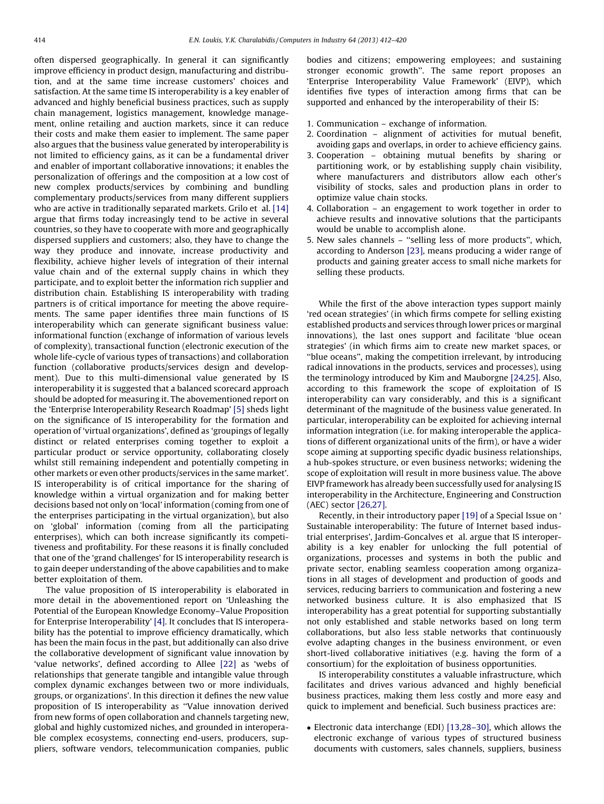often dispersed geographically. In general it can significantly improve efficiency in product design, manufacturing and distribution, and at the same time increase customers' choices and satisfaction. At the same time IS interoperability is a key enabler of advanced and highly beneficial business practices, such as supply chain management, logistics management, knowledge management, online retailing and auction markets, since it can reduce their costs and make them easier to implement. The same paper also argues that the business value generated by interoperability is not limited to efficiency gains, as it can be a fundamental driver and enabler of important collaborative innovations; it enables the personalization of offerings and the composition at a low cost of new complex products/services by combining and bundling complementary products/services from many different suppliers who are active in traditionally separated markets. Grilo et al. [\[14\]](#page-8-0) argue that firms today increasingly tend to be active in several countries, so they have to cooperate with more and geographically dispersed suppliers and customers; also, they have to change the way they produce and innovate, increase productivity and flexibility, achieve higher levels of integration of their internal value chain and of the external supply chains in which they participate, and to exploit better the information rich supplier and distribution chain. Establishing IS interoperability with trading partners is of critical importance for meeting the above requirements. The same paper identifies three main functions of IS interoperability which can generate significant business value: informational function (exchange of information of various levels of complexity), transactional function (electronic execution of the whole life-cycle of various types of transactions) and collaboration function (collaborative products/services design and development). Due to this multi-dimensional value generated by IS interoperability it is suggested that a balanced scorecard approach should be adopted for measuring it. The abovementioned report on the 'Enterprise Interoperability Research Roadmap' [\[5\]](#page-7-0) sheds light on the significance of IS interoperability for the formation and operation of 'virtual organizations', defined as 'groupings of legally distinct or related enterprises coming together to exploit a particular product or service opportunity, collaborating closely whilst still remaining independent and potentially competing in other markets or even other products/services in the same market'. IS interoperability is of critical importance for the sharing of knowledge within a virtual organization and for making better decisions based not only on 'local' information (coming from one of the enterprises participating in the virtual organization), but also on 'global' information (coming from all the participating enterprises), which can both increase significantly its competitiveness and profitability. For these reasons it is finally concluded that one of the 'grand challenges' for IS interoperability research is to gain deeper understanding of the above capabilities and to make better exploitation of them.

The value proposition of IS interoperability is elaborated in more detail in the abovementioned report on 'Unleashing the Potential of the European Knowledge Economy–Value Proposition for Enterprise Interoperability' [\[4\].](#page-7-0) It concludes that IS interoperability has the potential to improve efficiency dramatically, which has been the main focus in the past, but additionally can also drive the collaborative development of significant value innovation by 'value networks', defined according to Allee [\[22\]](#page-8-0) as 'webs of relationships that generate tangible and intangible value through complex dynamic exchanges between two or more individuals, groups, or organizations'. In this direction it defines the new value proposition of IS interoperability as ''Value innovation derived from new forms of open collaboration and channels targeting new, global and highly customized niches, and grounded in interoperable complex ecosystems, connecting end-users, producers, suppliers, software vendors, telecommunication companies, public

bodies and citizens; empowering employees; and sustaining stronger economic growth''. The same report proposes an 'Enterprise Interoperability Value Framework' (EIVP), which identifies five types of interaction among firms that can be supported and enhanced by the interoperability of their IS:

- 1. Communication exchange of information.
- 2. Coordination alignment of activities for mutual benefit, avoiding gaps and overlaps, in order to achieve efficiency gains.
- 3. Cooperation obtaining mutual benefits by sharing or partitioning work, or by establishing supply chain visibility, where manufacturers and distributors allow each other's visibility of stocks, sales and production plans in order to optimize value chain stocks.
- 4. Collaboration an engagement to work together in order to achieve results and innovative solutions that the participants would be unable to accomplish alone.
- 5. New sales channels ''selling less of more products'', which, according to Anderson [\[23\]](#page-8-0), means producing a wider range of products and gaining greater access to small niche markets for selling these products.

While the first of the above interaction types support mainly 'red ocean strategies' (in which firms compete for selling existing established products and services through lower prices or marginal innovations), the last ones support and facilitate 'blue ocean strategies' (in which firms aim to create new market spaces, or ''blue oceans'', making the competition irrelevant, by introducing radical innovations in the products, services and processes), using the terminology introduced by Kim and Mauborgne [\[24,25\]](#page-8-0). Also, according to this framework the scope of exploitation of IS interoperability can vary considerably, and this is a significant determinant of the magnitude of the business value generated. In particular, interoperability can be exploited for achieving internal information integration (i.e. for making interoperable the applications of different organizational units of the firm), or have a wider scope aiming at supporting specific dyadic business relationships, a hub-spokes structure, or even business networks; widening the scope of exploitation will result in more business value. The above EIVP framework has already been successfully used for analysing IS interoperability in the Architecture, Engineering and Construction (AEC) sector [\[26,27\].](#page-8-0)

Recently, in their introductory paper [\[19\]](#page-8-0) of a Special Issue on ' Sustainable interoperability: The future of Internet based industrial enterprises', Jardim-Goncalves et al. argue that IS interoperability is a key enabler for unlocking the full potential of organizations, processes and systems in both the public and private sector, enabling seamless cooperation among organizations in all stages of development and production of goods and services, reducing barriers to communication and fostering a new networked business culture. It is also emphasized that IS interoperability has a great potential for supporting substantially not only established and stable networks based on long term collaborations, but also less stable networks that continuously evolve adapting changes in the business environment, or even short-lived collaborative initiatives (e.g. having the form of a consortium) for the exploitation of business opportunities.

IS interoperability constitutes a valuable infrastructure, which facilitates and drives various advanced and highly beneficial business practices, making them less costly and more easy and quick to implement and beneficial. Such business practices are:

• Electronic data interchange (EDI) [\[13,28–30\]](#page-8-0), which allows the electronic exchange of various types of structured business documents with customers, sales channels, suppliers, business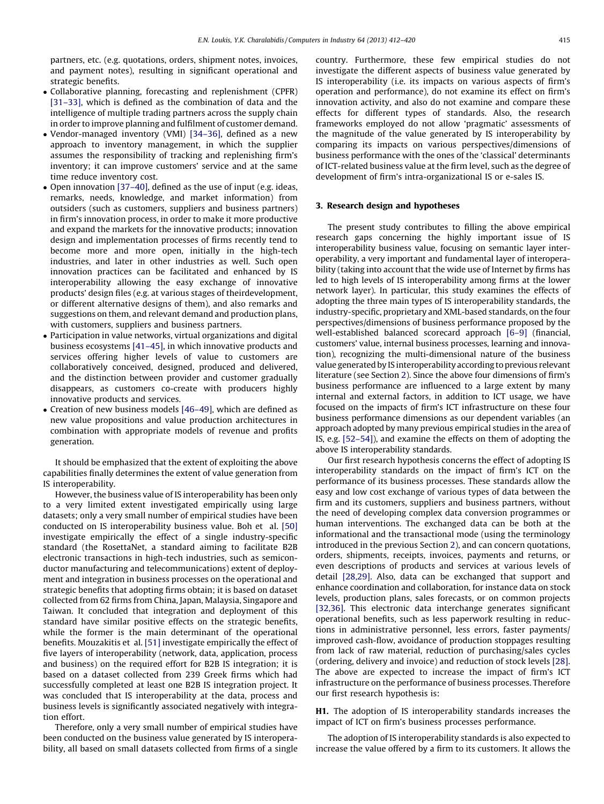<span id="page-3-0"></span>partners, etc. (e.g. quotations, orders, shipment notes, invoices, and payment notes), resulting in significant operational and strategic benefits.

- Collaborative planning, forecasting and replenishment (CPFR) [\[31–33\],](#page-8-0) which is defined as the combination of data and the intelligence of multiple trading partners across the supply chain in order to improve planning and fulfilment of customer demand.
- Vendor-managed inventory (VMI) [\[34–36\],](#page-8-0) defined as a new approach to inventory management, in which the supplier assumes the responsibility of tracking and replenishing firm's inventory; it can improve customers' service and at the same time reduce inventory cost.
- Open innovation [\[37–40\],](#page-8-0) defined as the use of input (e.g. ideas, remarks, needs, knowledge, and market information) from outsiders (such as customers, suppliers and business partners) in firm's innovation process, in order to make it more productive and expand the markets for the innovative products; innovation design and implementation processes of firms recently tend to become more and more open, initially in the high-tech industries, and later in other industries as well. Such open innovation practices can be facilitated and enhanced by IS interoperability allowing the easy exchange of innovative products' design files (e.g. at various stages of theirdevelopment, or different alternative designs of them), and also remarks and suggestions on them, and relevant demand and production plans, with customers, suppliers and business partners.
- Participation in value networks, virtual organizations and digital business ecosystems [\[41–45\],](#page-8-0) in which innovative products and services offering higher levels of value to customers are collaboratively conceived, designed, produced and delivered, and the distinction between provider and customer gradually disappears, as customers co-create with producers highly innovative products and services.
- Creation of new business models [\[46–49\]](#page-8-0), which are defined as new value propositions and value production architectures in combination with appropriate models of revenue and profits generation.

It should be emphasized that the extent of exploiting the above capabilities finally determines the extent of value generation from IS interoperability.

However, the business value of IS interoperability has been only to a very limited extent investigated empirically using large datasets; only a very small number of empirical studies have been conducted on IS interoperability business value. Boh et al. [\[50\]](#page-8-0) investigate empirically the effect of a single industry-specific standard (the RosettaNet, a standard aiming to facilitate B2B electronic transactions in high-tech industries, such as semiconductor manufacturing and telecommunications) extent of deployment and integration in business processes on the operational and strategic benefits that adopting firms obtain; it is based on dataset collected from 62 firms from China, Japan, Malaysia, Singapore and Taiwan. It concluded that integration and deployment of this standard have similar positive effects on the strategic benefits, while the former is the main determinant of the operational benefits. Mouzakitis et al. [\[51\]](#page-8-0) investigate empirically the effect of five layers of interoperability (network, data, application, process and business) on the required effort for B2B IS integration; it is based on a dataset collected from 239 Greek firms which had successfully completed at least one B2B IS integration project. It was concluded that IS interoperability at the data, process and business levels is significantly associated negatively with integration effort.

Therefore, only a very small number of empirical studies have been conducted on the business value generated by IS interoperability, all based on small datasets collected from firms of a single country. Furthermore, these few empirical studies do not investigate the different aspects of business value generated by IS interoperability (i.e. its impacts on various aspects of firm's operation and performance), do not examine its effect on firm's innovation activity, and also do not examine and compare these effects for different types of standards. Also, the research frameworks employed do not allow 'pragmatic' assessments of the magnitude of the value generated by IS interoperability by comparing its impacts on various perspectives/dimensions of business performance with the ones of the 'classical' determinants of ICT-related business value at the firm level, such as the degree of development of firm's intra-organizational IS or e-sales IS.

#### 3. Research design and hypotheses

The present study contributes to filling the above empirical research gaps concerning the highly important issue of IS interoperability business value, focusing on semantic layer interoperability, a very important and fundamental layer of interoperability (taking into account that the wide use of Internet by firms has led to high levels of IS interoperability among firms at the lower network layer). In particular, this study examines the effects of adopting the three main types of IS interoperability standards, the industry-specific, proprietary and XML-based standards, on the four perspectives/dimensions of business performance proposed by the well-established balanced scorecard approach [\[6–9\]](#page-8-0) (financial, customers' value, internal business processes, learning and innovation), recognizing the multi-dimensional nature of the business value generated by IS interoperability according to previous relevant literature (see Section [2\)](#page-1-0). Since the above four dimensions of firm's business performance are influenced to a large extent by many internal and external factors, in addition to ICT usage, we have focused on the impacts of firm's ICT infrastructure on these four business performance dimensions as our dependent variables (an approach adopted by many previous empirical studies in the area of IS, e.g. [\[52–54\]\)](#page-8-0), and examine the effects on them of adopting the above IS interoperability standards.

Our first research hypothesis concerns the effect of adopting IS interoperability standards on the impact of firm's ICT on the performance of its business processes. These standards allow the easy and low cost exchange of various types of data between the firm and its customers, suppliers and business partners, without the need of developing complex data conversion programmes or human interventions. The exchanged data can be both at the informational and the transactional mode (using the terminology introduced in the previous Section [2\)](#page-1-0), and can concern quotations, orders, shipments, receipts, invoices, payments and returns, or even descriptions of products and services at various levels of detail [\[28,29\]](#page-8-0). Also, data can be exchanged that support and enhance coordination and collaboration, for instance data on stock levels, production plans, sales forecasts, or on common projects [\[32,36\].](#page-8-0) This electronic data interchange generates significant operational benefits, such as less paperwork resulting in reductions in administrative personnel, less errors, faster payments/ improved cash-flow, avoidance of production stoppages resulting from lack of raw material, reduction of purchasing/sales cycles (ordering, delivery and invoice) and reduction of stock levels [\[28\].](#page-8-0) The above are expected to increase the impact of firm's ICT infrastructure on the performance of business processes. Therefore our first research hypothesis is:

H1. The adoption of IS interoperability standards increases the impact of ICT on firm's business processes performance.

The adoption of IS interoperability standards is also expected to increase the value offered by a firm to its customers. It allows the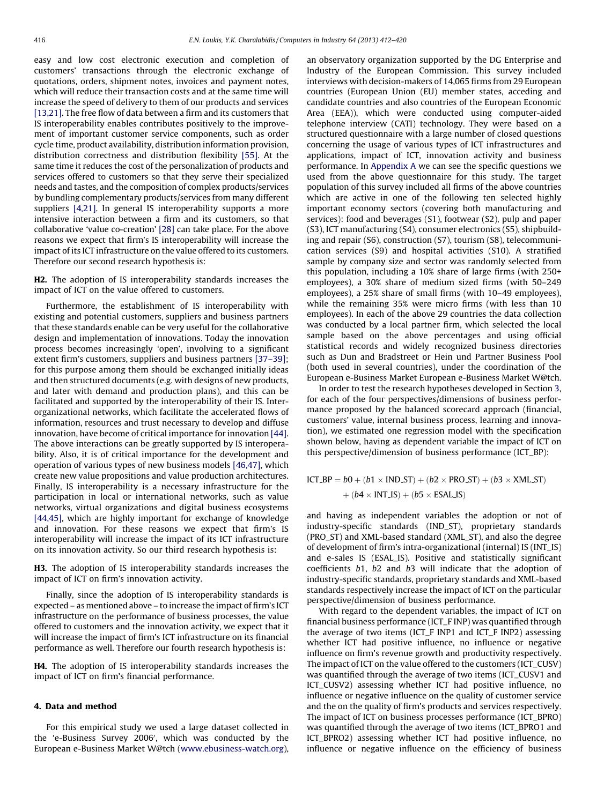<span id="page-4-0"></span>easy and low cost electronic execution and completion of customers' transactions through the electronic exchange of quotations, orders, shipment notes, invoices and payment notes, which will reduce their transaction costs and at the same time will increase the speed of delivery to them of our products and services [\[13,21\].](#page-8-0) The free flow of data between a firm and its customers that IS interoperability enables contributes positively to the improvement of important customer service components, such as order cycle time, product availability, distribution information provision, distribution correctness and distribution flexibility [\[55\]](#page-8-0). At the same time it reduces the cost of the personalization of products and services offered to customers so that they serve their specialized needs and tastes, and the composition of complex products/services by bundling complementary products/services from many different suppliers [\[4,21\].](#page-7-0) In general IS interoperability supports a more intensive interaction between a firm and its customers, so that collaborative 'value co-creation' [\[28\]](#page-8-0) can take place. For the above reasons we expect that firm's IS interoperability will increase the impact of its ICT infrastructure on the value offered to its customers. Therefore our second research hypothesis is:

H2. The adoption of IS interoperability standards increases the impact of ICT on the value offered to customers.

Furthermore, the establishment of IS interoperability with existing and potential customers, suppliers and business partners that these standards enable can be very useful for the collaborative design and implementation of innovations. Today the innovation process becomes increasingly 'open', involving to a significant extent firm's customers, suppliers and business partners [\[37–39\];](#page-8-0) for this purpose among them should be exchanged initially ideas and then structured documents (e.g. with designs of new products, and later with demand and production plans), and this can be facilitated and supported by the interoperability of their IS. Interorganizational networks, which facilitate the accelerated flows of information, resources and trust necessary to develop and diffuse innovation, have become of critical importance for innovation [\[44\].](#page-8-0) The above interactions can be greatly supported by IS interoperability. Also, it is of critical importance for the development and operation of various types of new business models [\[46,47\],](#page-8-0) which create new value propositions and value production architectures. Finally, IS interoperability is a necessary infrastructure for the participation in local or international networks, such as value networks, virtual organizations and digital business ecosystems [\[44,45\],](#page-8-0) which are highly important for exchange of knowledge and innovation. For these reasons we expect that firm's IS interoperability will increase the impact of its ICT infrastructure on its innovation activity. So our third research hypothesis is:

H3. The adoption of IS interoperability standards increases the impact of ICT on firm's innovation activity.

Finally, since the adoption of IS interoperability standards is expected – as mentioned above – to increase the impact of firm's ICT infrastructure on the performance of business processes, the value offered to customers and the innovation activity, we expect that it will increase the impact of firm's ICT infrastructure on its financial performance as well. Therefore our fourth research hypothesis is:

H4. The adoption of IS interoperability standards increases the impact of ICT on firm's financial performance.

#### 4. Data and method

For this empirical study we used a large dataset collected in the 'e-Business Survey 2006', which was conducted by the European e-Business Market W@tch [\(www.ebusiness-watch.org\)](http://www.ebusiness-watch.org/), an observatory organization supported by the DG Enterprise and Industry of the European Commission. This survey included interviews with decision-makers of 14,065 firms from 29 European countries (European Union (EU) member states, acceding and candidate countries and also countries of the European Economic Area (EEA)), which were conducted using computer-aided telephone interview (CATI) technology. They were based on a structured questionnaire with a large number of closed questions concerning the usage of various types of ICT infrastructures and applications, impact of ICT, innovation activity and business performance. In [Appendix](#page-7-0) A we can see the specific questions we used from the above questionnaire for this study. The target population of this survey included all firms of the above countries which are active in one of the following ten selected highly important economy sectors (covering both manufacturing and services): food and beverages (S1), footwear (S2), pulp and paper (S3), ICT manufacturing (S4), consumer electronics (S5), shipbuilding and repair (S6), construction (S7), tourism (S8), telecommunication services (S9) and hospital activities (S10). A stratified sample by company size and sector was randomly selected from this population, including a 10% share of large firms (with 250+ employees), a 30% share of medium sized firms (with 50–249 employees), a 25% share of small firms (with 10–49 employees), while the remaining 35% were micro firms (with less than 10 employees). In each of the above 29 countries the data collection was conducted by a local partner firm, which selected the local sample based on the above percentages and using official statistical records and widely recognized business directories such as Dun and Bradstreet or Hein und Partner Business Pool (both used in several countries), under the coordination of the European e-Business Market European e-Business Market W@tch.

In order to test the research hypotheses developed in Section [3,](#page-3-0) for each of the four perspectives/dimensions of business performance proposed by the balanced scorecard approach (financial, customers' value, internal business process, learning and innovation), we estimated one regression model with the specification shown below, having as dependent variable the impact of ICT on this perspective/dimension of business performance (ICT\_BP):

ICT BP =  $b0 + (b1 \times IND_{ST}) + (b2 \times PRO_{ST}) + (b3 \times XML_{ST})$  $+ (b4 \times INTIS) + (b5 \times ESALIS)$ 

and having as independent variables the adoption or not of industry-specific standards (IND\_ST), proprietary standards (PRO\_ST) and XML-based standard (XML\_ST), and also the degree of development of firm's intra-organizational (internal) IS (INT\_IS) and e-sales IS (ESAL\_IS). Positive and statistically significant coefficients b1, b2 and b3 will indicate that the adoption of industry-specific standards, proprietary standards and XML-based standards respectively increase the impact of ICT on the particular perspective/dimension of business performance.

With regard to the dependent variables, the impact of ICT on financial business performance (ICT\_F INP) was quantified through the average of two items (ICT\_F INP1 and ICT\_F INP2) assessing whether ICT had positive influence, no influence or negative influence on firm's revenue growth and productivity respectively. The impact of ICT on the value offered to the customers (ICT\_CUSV) was quantified through the average of two items (ICT\_CUSV1 and ICT\_CUSV2) assessing whether ICT had positive influence, no influence or negative influence on the quality of customer service and the on the quality of firm's products and services respectively. The impact of ICT on business processes performance (ICT\_BPRO) was quantified through the average of two items (ICT\_BPRO1 and ICT\_BPRO2) assessing whether ICT had positive influence, no influence or negative influence on the efficiency of business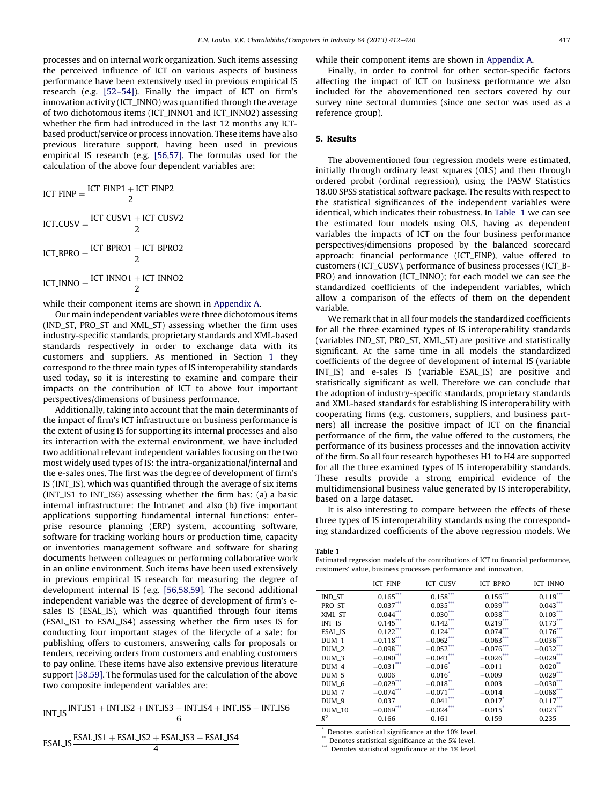<span id="page-5-0"></span>processes and on internal work organization. Such items assessing the perceived influence of ICT on various aspects of business performance have been extensively used in previous empirical IS research (e.g. [\[52–54\]](#page-8-0)). Finally the impact of ICT on firm's innovation activity (ICT\_INNO) was quantified through the average of two dichotomous items (ICT\_INNO1 and ICT\_INNO2) assessing whether the firm had introduced in the last 12 months any ICTbased product/service or process innovation. These items have also previous literature support, having been used in previous empirical IS research (e.g. [\[56,57\]](#page-8-0). The formulas used for the calculation of the above four dependent variables are:

$$
ICT_FIMP = \frac{ICT_FINPI + ICT_FINP2}{2}
$$

$$
ICT_CUSV = \frac{ICT_CUSV1 + ICT_CUSV2}{2}
$$

$$
ICT_BPRO = \frac{ICT_BPRO1 + ICT_BPRO2}{2}
$$

$$
ICT\_INNO = \frac{ICT\_INNO1 + ICT\_INNO2}{2}
$$

while their component items are shown in [Appendix](#page-7-0) A.

Our main independent variables were three dichotomous items (IND\_ST, PRO\_ST and XML\_ST) assessing whether the firm uses industry-specific standards, proprietary standards and XML-based standards respectively in order to exchange data with its customers and suppliers. As mentioned in Section [1](#page-0-0) they correspond to the three main types of IS interoperability standards used today, so it is interesting to examine and compare their impacts on the contribution of ICT to above four important perspectives/dimensions of business performance.

Additionally, taking into account that the main determinants of the impact of firm's ICT infrastructure on business performance is the extent of using IS for supporting its internal processes and also its interaction with the external environment, we have included two additional relevant independent variables focusing on the two most widely used types of IS: the intra-organizational/internal and the e-sales ones. The first was the degree of development of firm's IS (INT\_IS), which was quantified through the average of six items (INT\_IS1 to INT\_IS6) assessing whether the firm has: (a) a basic internal infrastructure: the Intranet and also (b) five important applications supporting fundamental internal functions: enterprise resource planning (ERP) system, accounting software, software for tracking working hours or production time, capacity or inventories management software and software for sharing documents between colleagues or performing collaborative work in an online environment. Such items have been used extensively in previous empirical IS research for measuring the degree of development internal IS (e.g. [\[56,58,59\]](#page-8-0). The second additional independent variable was the degree of development of firm's esales IS (ESAL\_IS), which was quantified through four items (ESAL\_IS1 to ESAL\_IS4) assessing whether the firm uses IS for conducting four important stages of the lifecycle of a sale: for publishing offers to customers, answering calls for proposals or tenders, receiving orders from customers and enabling customers to pay online. These items have also extensive previous literature support [\[58,59\]](#page-8-0). The formulas used for the calculation of the above two composite independent variables are:

$$
INT. IS \frac{INT. IS1 + INT. IS2 + INT. IS3 + INT. IS4 + INT. IS5 + INT. IS6}{6}
$$

$$
ESALIS \frac{ESALIS1 + ESALIS2 + ESALIS3 + ESALIS4}{4}
$$

$$
f_{\rm{max}}
$$

while their component items are shown in [Appendix](#page-7-0) A.

Finally, in order to control for other sector-specific factors affecting the impact of ICT on business performance we also included for the abovementioned ten sectors covered by our survey nine sectoral dummies (since one sector was used as a reference group).

## 5. Results

The abovementioned four regression models were estimated, initially through ordinary least squares (OLS) and then through ordered probit (ordinal regression), using the PASW Statistics 18.00 SPSS statistical software package. The results with respect to the statistical significances of the independent variables were identical, which indicates their robustness. In Table 1 we can see the estimated four models using OLS, having as dependent variables the impacts of ICT on the four business performance perspectives/dimensions proposed by the balanced scorecard approach: financial performance (ICT\_FINP), value offered to customers (ICT\_CUSV), performance of business processes (ICT\_B-PRO) and innovation (ICT\_INNO); for each model we can see the standardized coefficients of the independent variables, which allow a comparison of the effects of them on the dependent variable.

We remark that in all four models the standardized coefficients for all the three examined types of IS interoperability standards (variables IND\_ST, PRO\_ST, XML\_ST) are positive and statistically significant. At the same time in all models the standardized coefficients of the degree of development of internal IS (variable INT\_IS) and e-sales IS (variable ESAL\_IS) are positive and statistically significant as well. Therefore we can conclude that the adoption of industry-specific standards, proprietary standards and XML-based standards for establishing IS interoperability with cooperating firms (e.g. customers, suppliers, and business partners) all increase the positive impact of ICT on the financial performance of the firm, the value offered to the customers, the performance of its business processes and the innovation activity of the firm. So all four research hypotheses H1 to H4 are supported for all the three examined types of IS interoperability standards. These results provide a strong empirical evidence of the multidimensional business value generated by IS interoperability, based on a large dataset.

It is also interesting to compare between the effects of these three types of IS interoperability standards using the corresponding standardized coefficients of the above regression models. We

Table 1

Estimated regression models of the contributions of ICT to financial performance, customers' value, business processes performance and innovation.

|                  | ICT_FINP                    | ICT_CUSV               | ICT_BPRO               | ICT_INNO               |
|------------------|-----------------------------|------------------------|------------------------|------------------------|
| IND_ST           | $0.165$ ***                 | $0.158***$             | $0.156***$             | $0.119$ ***            |
| PRO ST           | $0.037$ <sup>**</sup>       | $0.035$ **             | 0.039                  | 0.043                  |
| XML_ST           | $0.044$ <sup>***</sup>      | 0.030                  | 0.038                  | $0.103$ ***            |
| <b>INT IS</b>    | $0.145$ ***                 | $0.142$ ***            | $0.219$ <sup>***</sup> | $0.173$ ***            |
| <b>ESAL IS</b>   | $0.122$                     | $0.124$ <sup>***</sup> | $0.074$ ***            | $0.176$ <sup>***</sup> |
| DUM <sub>1</sub> | $-0.118$ ***                | $-0.062$ ***           | $-0.063$ ***           | $-0.036$ <sup>*</sup>  |
| DUM <sub>2</sub> | $-0.098$                    | $-0.052$ ***           | $-0.076$               | $-0.032$               |
| DUM <sub>3</sub> | $-0.080\overset{\cdots}{ }$ | $-0.043$ ***           | $-0.026$ ***           | $-0.029$               |
| DUM_4            | $-0.031$                    | $-0.016$ <sup>*</sup>  | $-0.011$               | $0.020^{11}$           |
| DUM_5            | 0.006                       | $0.016^*$              | $-0.009$               | 0.029                  |
| DUM 6            | $-0.029$ ***                | $-0.018$ <sup>**</sup> | 0.003                  | $-0.030$               |
| DUM <sub>7</sub> | $-0.074$ ***                | $-0.071$ ***           | $-0.014$               | $-0.068$               |
| DUM <sub>9</sub> | 0.037                       | $0.041$ ***            | 0.017                  | $0.117$ <sup>***</sup> |
| <b>DUM_10</b>    | $-0.069$                    | $-0.024$ ***           | $-0.015$               | 0.023                  |
| $R^2$            | 0.166                       | 0.161                  | 0.159                  | 0.235                  |

Denotes statistical significance at the 10% level.

Denotes statistical significance at the 5% level.

Denotes statistical significance at the 1% level.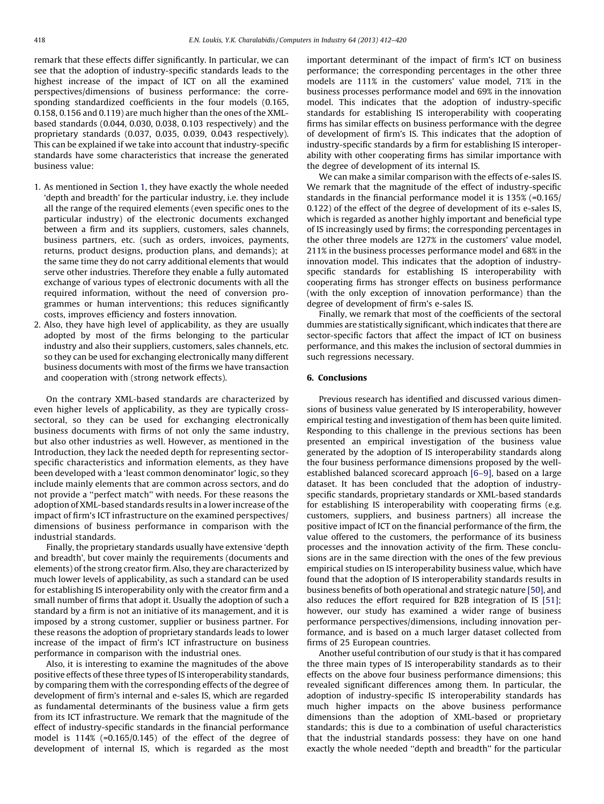<span id="page-6-0"></span>remark that these effects differ significantly. In particular, we can see that the adoption of industry-specific standards leads to the highest increase of the impact of ICT on all the examined perspectives/dimensions of business performance: the corresponding standardized coefficients in the four models (0.165, 0.158, 0.156 and 0.119) are much higher than the ones of the XMLbased standards (0.044, 0.030, 0.038, 0.103 respectively) and the proprietary standards (0.037, 0.035, 0.039, 0.043 respectively). This can be explained if we take into account that industry-specific standards have some characteristics that increase the generated business value:

- 1. As mentioned in Section [1](#page-0-0), they have exactly the whole needed 'depth and breadth' for the particular industry, i.e. they include all the range of the required elements (even specific ones to the particular industry) of the electronic documents exchanged between a firm and its suppliers, customers, sales channels, business partners, etc. (such as orders, invoices, payments, returns, product designs, production plans, and demands); at the same time they do not carry additional elements that would serve other industries. Therefore they enable a fully automated exchange of various types of electronic documents with all the required information, without the need of conversion programmes or human interventions; this reduces significantly costs, improves efficiency and fosters innovation.
- 2. Also, they have high level of applicability, as they are usually adopted by most of the firms belonging to the particular industry and also their suppliers, customers, sales channels, etc. so they can be used for exchanging electronically many different business documents with most of the firms we have transaction and cooperation with (strong network effects).

On the contrary XML-based standards are characterized by even higher levels of applicability, as they are typically crosssectoral, so they can be used for exchanging electronically business documents with firms of not only the same industry, but also other industries as well. However, as mentioned in the Introduction, they lack the needed depth for representing sectorspecific characteristics and information elements, as they have been developed with a 'least common denominator' logic, so they include mainly elements that are common across sectors, and do not provide a ''perfect match'' with needs. For these reasons the adoption of XML-based standards results in a lower increase of the impact of firm's ICT infrastructure on the examined perspectives/ dimensions of business performance in comparison with the industrial standards.

Finally, the proprietary standards usually have extensive 'depth and breadth', but cover mainly the requirements (documents and elements) of the strong creator firm. Also, they are characterized by much lower levels of applicability, as such a standard can be used for establishing IS interoperability only with the creator firm and a small number of firms that adopt it. Usually the adoption of such a standard by a firm is not an initiative of its management, and it is imposed by a strong customer, supplier or business partner. For these reasons the adoption of proprietary standards leads to lower increase of the impact of firm's ICT infrastructure on business performance in comparison with the industrial ones.

Also, it is interesting to examine the magnitudes of the above positive effects of these three types of IS interoperability standards, by comparing them with the corresponding effects of the degree of development of firm's internal and e-sales IS, which are regarded as fundamental determinants of the business value a firm gets from its ICT infrastructure. We remark that the magnitude of the effect of industry-specific standards in the financial performance model is 114% (=0.165/0.145) of the effect of the degree of development of internal IS, which is regarded as the most important determinant of the impact of firm's ICT on business performance; the corresponding percentages in the other three models are 111% in the customers' value model, 71% in the business processes performance model and 69% in the innovation model. This indicates that the adoption of industry-specific standards for establishing IS interoperability with cooperating firms has similar effects on business performance with the degree of development of firm's IS. This indicates that the adoption of industry-specific standards by a firm for establishing IS interoperability with other cooperating firms has similar importance with the degree of development of its internal IS.

We can make a similar comparison with the effects of e-sales IS. We remark that the magnitude of the effect of industry-specific standards in the financial performance model it is 135% (=0.165/ 0.122) of the effect of the degree of development of its e-sales IS, which is regarded as another highly important and beneficial type of IS increasingly used by firms; the corresponding percentages in the other three models are 127% in the customers' value model, 211% in the business processes performance model and 68% in the innovation model. This indicates that the adoption of industryspecific standards for establishing IS interoperability with cooperating firms has stronger effects on business performance (with the only exception of innovation performance) than the degree of development of firm's e-sales IS.

Finally, we remark that most of the coefficients of the sectoral dummies are statistically significant, which indicates that there are sector-specific factors that affect the impact of ICT on business performance, and this makes the inclusion of sectoral dummies in such regressions necessary.

#### 6. Conclusions

Previous research has identified and discussed various dimensions of business value generated by IS interoperability, however empirical testing and investigation of them has been quite limited. Responding to this challenge in the previous sections has been presented an empirical investigation of the business value generated by the adoption of IS interoperability standards along the four business performance dimensions proposed by the wellestablished balanced scorecard approach [\[6–9\],](#page-8-0) based on a large dataset. It has been concluded that the adoption of industryspecific standards, proprietary standards or XML-based standards for establishing IS interoperability with cooperating firms (e.g. customers, suppliers, and business partners) all increase the positive impact of ICT on the financial performance of the firm, the value offered to the customers, the performance of its business processes and the innovation activity of the firm. These conclusions are in the same direction with the ones of the few previous empirical studies on IS interoperability business value, which have found that the adoption of IS interoperability standards results in business benefits of both operational and strategic nature [\[50\],](#page-8-0) and also reduces the effort required for B2B integration of IS [\[51\];](#page-8-0) however, our study has examined a wider range of business performance perspectives/dimensions, including innovation performance, and is based on a much larger dataset collected from firms of 25 European countries.

Another useful contribution of our study is that it has compared the three main types of IS interoperability standards as to their effects on the above four business performance dimensions; this revealed significant differences among them. In particular, the adoption of industry-specific IS interoperability standards has much higher impacts on the above business performance dimensions than the adoption of XML-based or proprietary standards; this is due to a combination of useful characteristics that the industrial standards possess: they have on one hand exactly the whole needed ''depth and breadth'' for the particular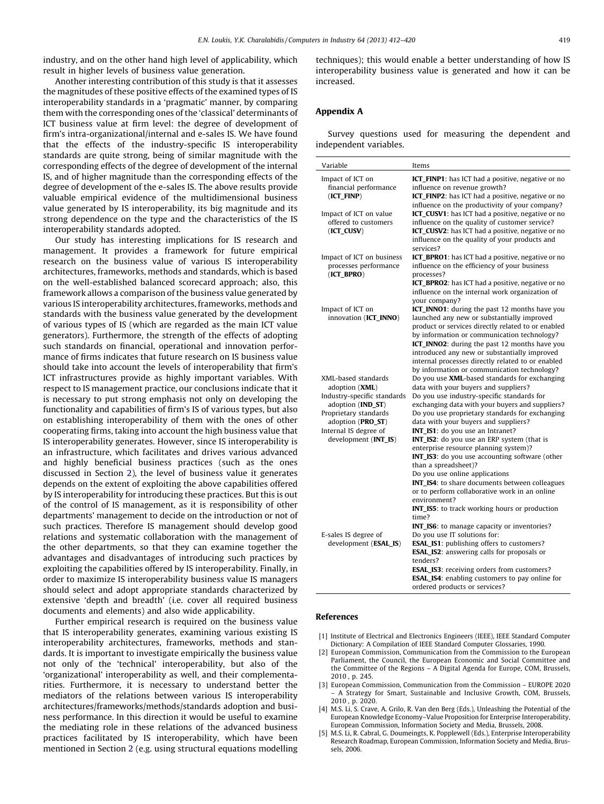<span id="page-7-0"></span>industry, and on the other hand high level of applicability, which result in higher levels of business value generation.

Another interesting contribution of this study is that it assesses the magnitudes of these positive effects of the examined types of IS interoperability standards in a 'pragmatic' manner, by comparing them with the corresponding ones of the 'classical' determinants of ICT business value at firm level: the degree of development of firm's intra-organizational/internal and e-sales IS. We have found that the effects of the industry-specific IS interoperability standards are quite strong, being of similar magnitude with the corresponding effects of the degree of development of the internal IS, and of higher magnitude than the corresponding effects of the degree of development of the e-sales IS. The above results provide valuable empirical evidence of the multidimensional business value generated by IS interoperability, its big magnitude and its strong dependence on the type and the characteristics of the IS interoperability standards adopted.

Our study has interesting implications for IS research and management. It provides a framework for future empirical research on the business value of various IS interoperability architectures, frameworks, methods and standards, which is based on the well-established balanced scorecard approach; also, this framework allows a comparison of the business value generated by various IS interoperability architectures, frameworks, methods and standards with the business value generated by the development of various types of IS (which are regarded as the main ICT value generators). Furthermore, the strength of the effects of adopting such standards on financial, operational and innovation performance of firms indicates that future research on IS business value should take into account the levels of interoperability that firm's ICT infrastructures provide as highly important variables. With respect to IS management practice, our conclusions indicate that it is necessary to put strong emphasis not only on developing the functionality and capabilities of firm's IS of various types, but also on establishing interoperability of them with the ones of other cooperating firms, taking into account the high business value that IS interoperability generates. However, since IS interoperability is an infrastructure, which facilitates and drives various advanced and highly beneficial business practices (such as the ones discussed in Section [2](#page-1-0)), the level of business value it generates depends on the extent of exploiting the above capabilities offered by IS interoperability for introducing these practices. But this is out of the control of IS management, as it is responsibility of other departments' management to decide on the introduction or not of such practices. Therefore IS management should develop good relations and systematic collaboration with the management of the other departments, so that they can examine together the advantages and disadvantages of introducing such practices by exploiting the capabilities offered by IS interoperability. Finally, in order to maximize IS interoperability business value IS managers should select and adopt appropriate standards characterized by extensive 'depth and breadth' (i.e. cover all required business documents and elements) and also wide applicability.

Further empirical research is required on the business value that IS interoperability generates, examining various existing IS interoperability architectures, frameworks, methods and standards. It is important to investigate empirically the business value not only of the 'technical' interoperability, but also of the 'organizational' interoperability as well, and their complementarities. Furthermore, it is necessary to understand better the mediators of the relations between various IS interoperability architectures/frameworks/methods/standards adoption and business performance. In this direction it would be useful to examine the mediating role in these relations of the advanced business practices facilitated by IS interoperability, which have been mentioned in Section [2](#page-1-0) (e.g. using structural equations modelling techniques); this would enable a better understanding of how IS interoperability business value is generated and how it can be increased.

# Appendix A

Survey questions used for measuring the dependent and independent variables.

| Variable                                                         | Items                                                                                                                                                                                                                                                                                                                                                                                                                  |
|------------------------------------------------------------------|------------------------------------------------------------------------------------------------------------------------------------------------------------------------------------------------------------------------------------------------------------------------------------------------------------------------------------------------------------------------------------------------------------------------|
| Impact of ICT on<br>financial performance<br>$(ICT_FIMP)$        | ICT_FINP1: has ICT had a positive, negative or no<br>influence on revenue growth?<br>ICT_FINP2: has ICT had a positive, negative or no<br>influence on the productivity of your company?                                                                                                                                                                                                                               |
| Impact of ICT on value<br>offered to customers<br>(ICT_CUSV)     | ICT_CUSV1: has ICT had a positive, negative or no<br>influence on the quality of customer service?<br>ICT_CUSV2: has ICT had a positive, negative or no<br>influence on the quality of your products and<br>services?                                                                                                                                                                                                  |
| Impact of ICT on business<br>processes performance<br>(ICT BPRO) | <b>ICT_BPRO1</b> : has ICT had a positive, negative or no<br>influence on the efficiency of your business<br>processes?<br><b>ICT_BPRO2</b> : has ICT had a positive, negative or no<br>influence on the internal work organization of                                                                                                                                                                                 |
| Impact of ICT on<br>innovation (ICT_INNO)                        | your company?<br>ICT_INNO1: during the past 12 months have you<br>launched any new or substantially improved<br>product or services directly related to or enabled<br>by information or communication technology?<br>ICT_INNO2: during the past 12 months have you<br>introduced any new or substantially improved<br>internal processes directly related to or enabled<br>by information or communication technology? |
| XML-based standards<br>adoption (XML)                            | Do you use <b>XML</b> -based standards for exchanging<br>data with your buyers and suppliers?                                                                                                                                                                                                                                                                                                                          |
| Industry-specific standards<br>adoption (IND_ST)                 | Do you use industry-specific standards for<br>exchanging data with your buyers and suppliers?                                                                                                                                                                                                                                                                                                                          |
| Proprietary standards<br>adoption (PRO_ST)                       | Do you use proprietary standards for exchanging<br>data with your buyers and suppliers?                                                                                                                                                                                                                                                                                                                                |
| Internal IS degree of<br>development (INT_IS)                    | INT_IS1: do you use an Intranet?<br><b>INT_IS2</b> : do you use an ERP system (that is<br>enterprise resource planning system)?<br>INT_IS3: do you use accounting software (other<br>than a spreadsheet)?<br>Do you use online applications<br>INT_IS4: to share documents between colleagues<br>or to perform collaborative work in an online<br>environment?                                                         |
|                                                                  | <b>INT_IS5:</b> to track working hours or production<br>time?                                                                                                                                                                                                                                                                                                                                                          |
| E-sales IS degree of<br>development (ESAL_IS)                    | <b>INT_IS6</b> : to manage capacity or inventories?<br>Do you use IT solutions for:<br><b>ESAL_IS1</b> : publishing offers to customers?<br><b>ESAL_IS2</b> : answering calls for proposals or<br>tenders?<br><b>ESAL_IS3</b> : receiving orders from customers?<br><b>ESAL_IS4:</b> enabling customers to pay online for<br>ordered products or services?                                                             |

### References

- [1] Institute of Electrical and Electronics Engineers (IEEE), IEEE Standard Computer Dictionary: A Compilation of IEEE Standard Computer Glossaries, 1990.
- [2] European Commission, Communication from the Commission to the European Parliament, the Council, the European Economic and Social Committee and the Committee of the Regions – A Digital Agenda for Europe, COM, Brussels, 2010 , p. 245.
- [3] European Commission, Communication from the Commission EUROPE 2020 – A Strategy for Smart, Sustainable and Inclusive Growth, COM, Brussels, 2010 , p. 2020.
- [4] M.S. Li, S. Crave, A. Grilo, R. Van den Berg (Eds.), Unleashing the Potential of the European Knowledge Economy–Value Proposition for Enterprise Interoperability, European Commission, Information Society and Media, Brussels, 2008.
- M.S. Li, R. Cabral, G. Doumeingts, K. Popplewell (Eds.), Enterprise Interoperability Research Roadmap, European Commission, Information Society and Media, Brussels, 2006.